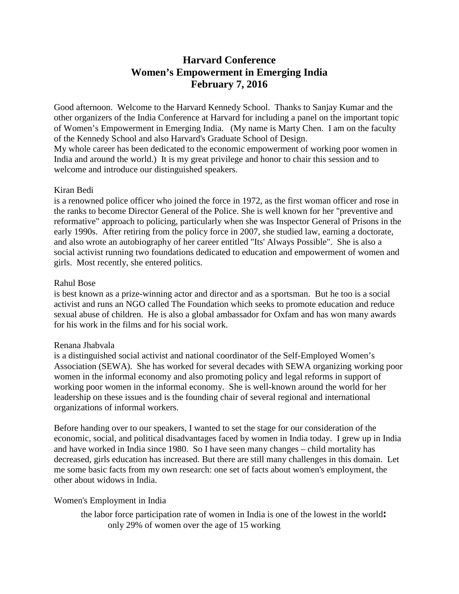# **Harvard Conference Women's Empowerment in Emerging India February 7, 2016**

Good afternoon. Welcome to the Harvard Kennedy School. Thanks to Sanjay Kumar and the other organizers of the India Conference at Harvard for including a panel on the important topic of Women's Empowerment in Emerging India. (My name is Marty Chen. I am on the faculty of the Kennedy School and also Harvard's Graduate School of Design. My whole career has been dedicated to the economic empowerment of working poor women in India and around the world.) It is my great privilege and honor to chair this session and to welcome and introduce our distinguished speakers.

### Kiran Bedi

is a renowned police officer who joined the force in 1972, as the first woman officer and rose in the ranks to become Director General of the Police. She is well known for her "preventive and reformative" approach to policing, particularly when she was Inspector General of Prisons in the early 1990s. After retiring from the policy force in 2007, she studied law, earning a doctorate, and also wrote an autobiography of her career entitled "Its' Always Possible". She is also a social activist running two foundations dedicated to education and empowerment of women and girls. Most recently, she entered politics.

#### Rahul Bose

is best known as a prize-winning actor and director and as a sportsman. But he too is a social activist and runs an NGO called The Foundation which seeks to promote education and reduce sexual abuse of children. He is also a global ambassador for Oxfam and has won many awards for his work in the films and for his social work.

### Renana Jhabvala

is a distinguished social activist and national coordinator of the Self-Employed Women's Association (SEWA). She has worked for several decades with SEWA organizing working poor women in the informal economy and also promoting policy and legal reforms in support of working poor women in the informal economy. She is well-known around the world for her leadership on these issues and is the founding chair of several regional and international organizations of informal workers.

Before handing over to our speakers, I wanted to set the stage for our consideration of the economic, social, and political disadvantages faced by women in India today. I grew up in India and have worked in India since 1980. So I have seen many changes – child mortality has decreased, girls education has increased. But there are still many challenges in this domain. Let me some basic facts from my own research: one set of facts about women's employment, the other about widows in India.

### Women's Employment in India

the labor force participation rate of women in India is one of the lowest in the world**:**  only 29% of women over the age of 15 working